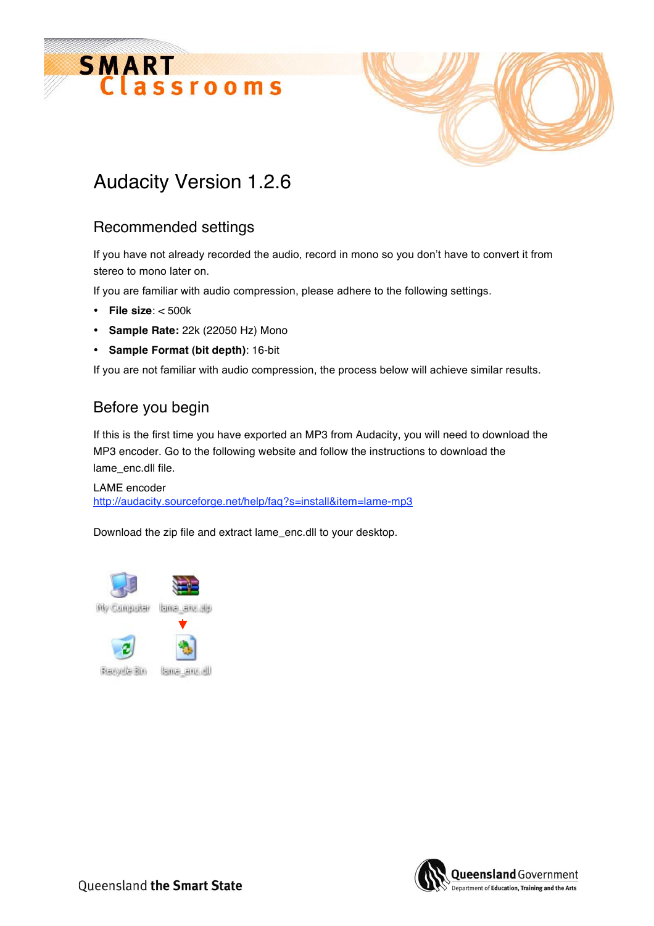



## Audacity Version 1.2.6

## Recommended settings

If you have not already recorded the audio, record in mono so you don't have to convert it from stereo to mono later on.

If you are familiar with audio compression, please adhere to the following settings.

- **File size**: < 500k
- **Sample Rate:** 22k (22050 Hz) Mono
- **Sample Format (bit depth)**: 16-bit

If you are not familiar with audio compression, the process below will achieve similar results.

## Before you begin

If this is the first time you have exported an MP3 from Audacity, you will need to download the MP3 encoder. Go to the following website and follow the instructions to download the lame\_enc.dll file.

LAME encoder http://audacity.sourceforge.net/help/faq?s=install&item=lame-mp3

Download the zip file and extract lame\_enc.dll to your desktop.



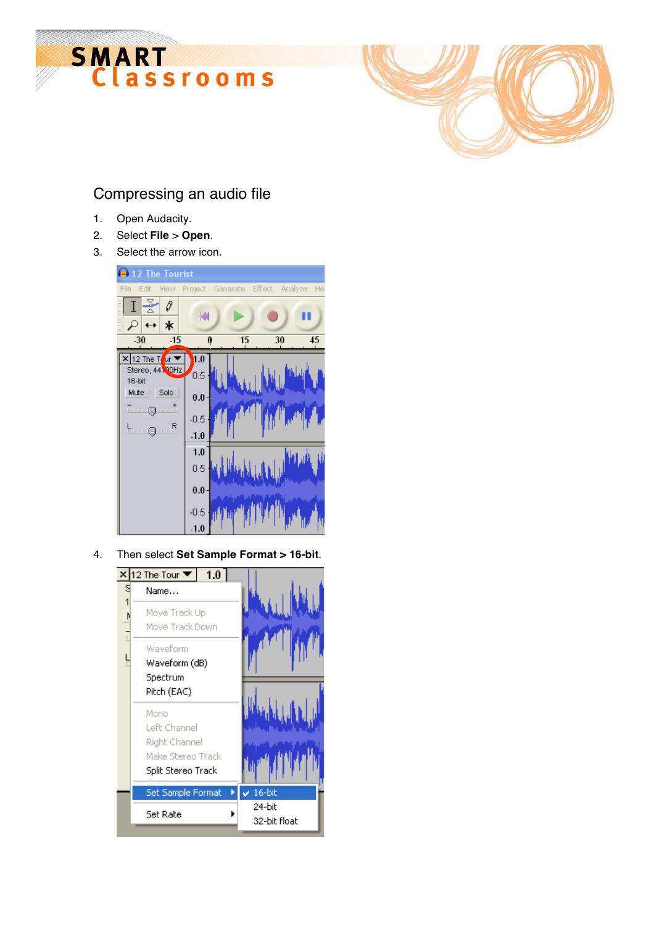



## Compressing an audio file

- 1. Open Audacity.
- 2. Select **File** > **Open**.
- 3. Select the arrow icon.



4. Then select **Set Sample Format > 16-bit**.

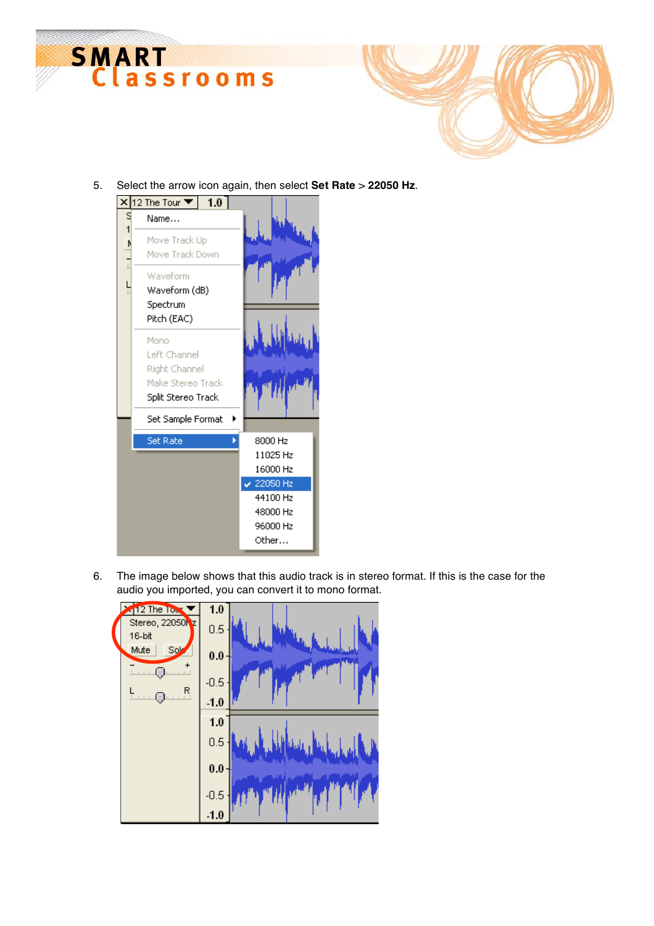



5. Select the arrow icon again, then select **Set Rate** > **22050 Hz**.



6. The image below shows that this audio track is in stereo format. If this is the case for the audio you imported, you can convert it to mono format.

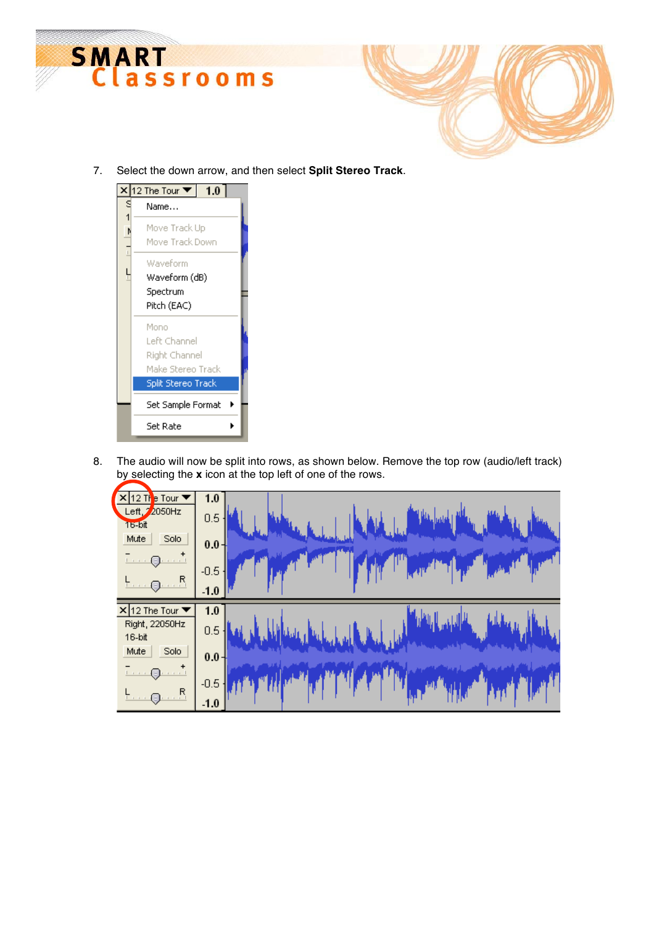



7. Select the down arrow, and then select **Split Stereo Track**.



8. The audio will now be split into rows, as shown below. Remove the top row (audio/left track) by selecting the **x** icon at the top left of one of the rows.

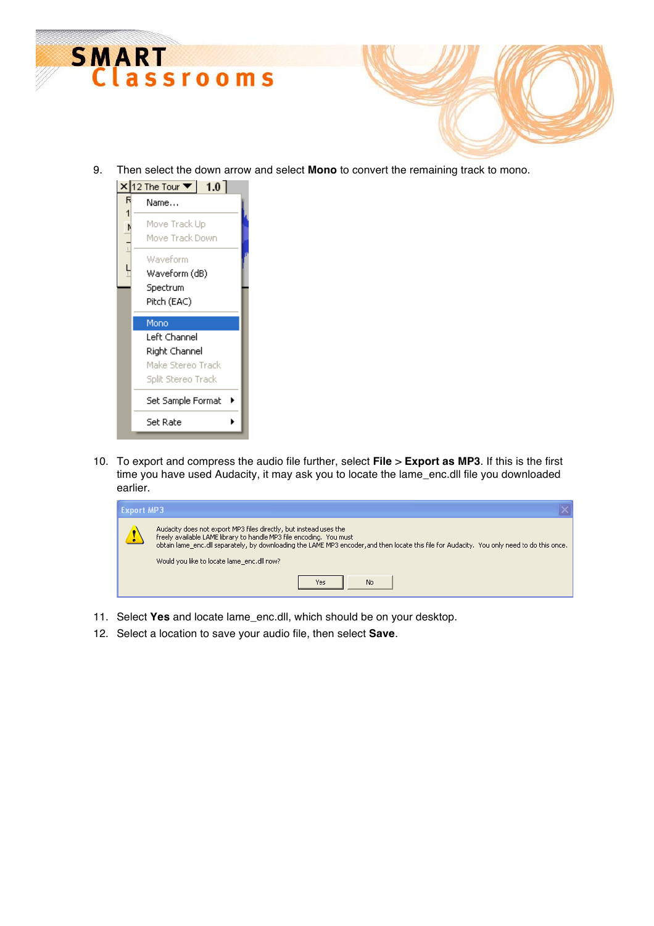

9. Then select the down arrow and select **Mono** to convert the remaining track to mono.



10. To export and compress the audio file further, select **File** > **Export as MP3**. If this is the first time you have used Audacity, it may ask you to locate the lame\_enc.dll file you downloaded earlier.

| <b>Export MP3</b> |                                                                                                                                                                                                                                                                                                                                       |
|-------------------|---------------------------------------------------------------------------------------------------------------------------------------------------------------------------------------------------------------------------------------------------------------------------------------------------------------------------------------|
|                   | Audacity does not export MP3 files directly, but instead uses the<br>freely available LAME library to handle MP3 file encoding. You must<br>obtain lame enc.dll separately, by downloading the LAME MP3 encoder, and then locate this file for Audacity. You only need to do this once.<br>Would you like to locate lame enc.dll now? |
|                   | <b>No</b><br>Yes                                                                                                                                                                                                                                                                                                                      |

- 11. Select **Yes** and locate lame\_enc.dll, which should be on your desktop.
- 12. Select a location to save your audio file, then select **Save**.